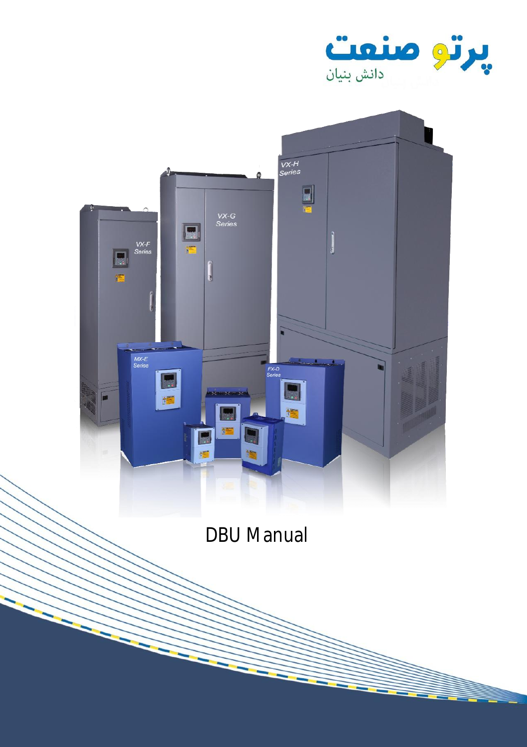



DBU Manual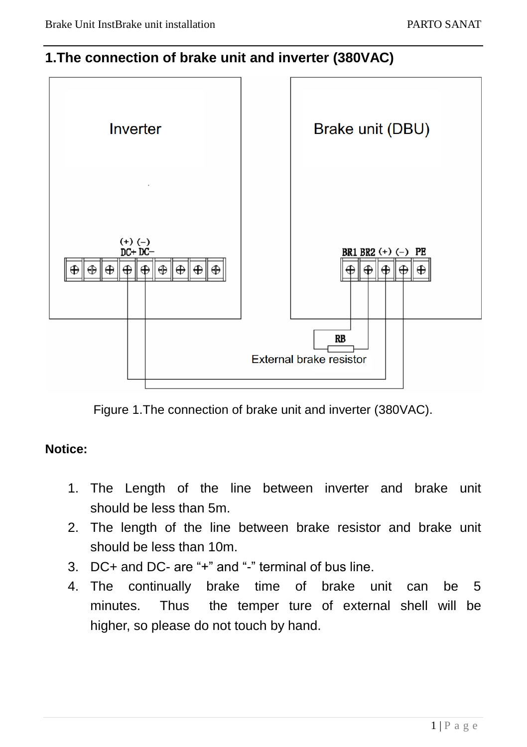#### **1.The connection of brake unit and inverter (380VAC)**



Figure 1.The connection of brake unit and inverter (380VAC).

#### **Notice:**

- 1. The Length of the line between inverter and brake unit should be less than 5m.
- 2. The length of the line between brake resistor and brake unit should be less than 10m.
- 3. DC+ and DC- are "+" and "-" terminal of bus line.
- 4. The continually brake time of brake unit can be 5 minutes. Thus the temper ture of external shell will be higher, so please do not touch by hand.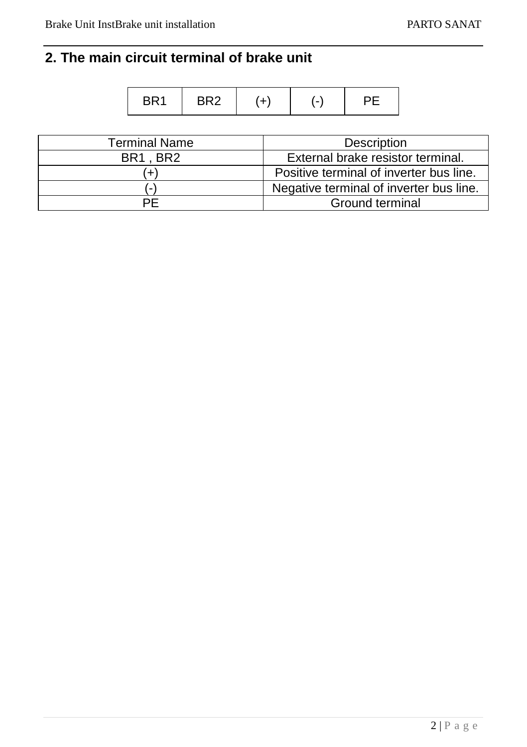# **2. The main circuit terminal of brake unit**

|  | $-1$ |  |  |  |
|--|------|--|--|--|
|--|------|--|--|--|

| Terminal Name            | Description                             |  |  |
|--------------------------|-----------------------------------------|--|--|
| BR1.BR2                  | External brake resistor terminal.       |  |  |
|                          | Positive terminal of inverter bus line. |  |  |
| $\overline{\phantom{a}}$ | Negative terminal of inverter bus line. |  |  |
| PF                       | Ground terminal                         |  |  |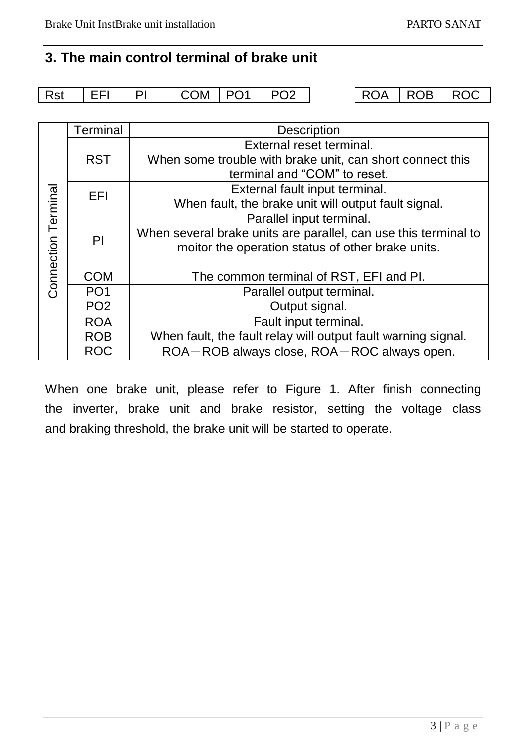## **3. The main control terminal of brake unit**

| <b>Rst</b> | I EFI | ΡI | COM   PO1 | $ $ PO2 |  | 'ROA   ROB   ROC |  |
|------------|-------|----|-----------|---------|--|------------------|--|
|            |       |    |           |         |  |                  |  |

|                     | Terminal        | Description                                                     |  |  |  |
|---------------------|-----------------|-----------------------------------------------------------------|--|--|--|
|                     |                 | External reset terminal.                                        |  |  |  |
|                     | <b>RST</b>      | When some trouble with brake unit, can short connect this       |  |  |  |
|                     |                 | terminal and "COM" to reset.                                    |  |  |  |
|                     | EFI             | External fault input terminal.                                  |  |  |  |
|                     |                 | When fault, the brake unit will output fault signal.            |  |  |  |
|                     |                 | Parallel input terminal.                                        |  |  |  |
| Connection Terminal | PI              | When several brake units are parallel, can use this terminal to |  |  |  |
|                     |                 | moitor the operation status of other brake units.               |  |  |  |
|                     |                 |                                                                 |  |  |  |
|                     | <b>COM</b>      | The common terminal of RST, EFI and PI.                         |  |  |  |
|                     | PO <sub>1</sub> | Parallel output terminal.                                       |  |  |  |
|                     | PO <sub>2</sub> | Output signal.                                                  |  |  |  |
|                     | <b>ROA</b>      | Fault input terminal.                                           |  |  |  |
|                     | <b>ROB</b>      | When fault, the fault relay will output fault warning signal.   |  |  |  |
|                     | <b>ROC</b>      | ROA-ROB always close, ROA-ROC always open.                      |  |  |  |

When one brake unit, please refer to Figure 1. After finish connecting the inverter, brake unit and brake resistor, setting the voltage class and braking threshold, the brake unit will be started to operate.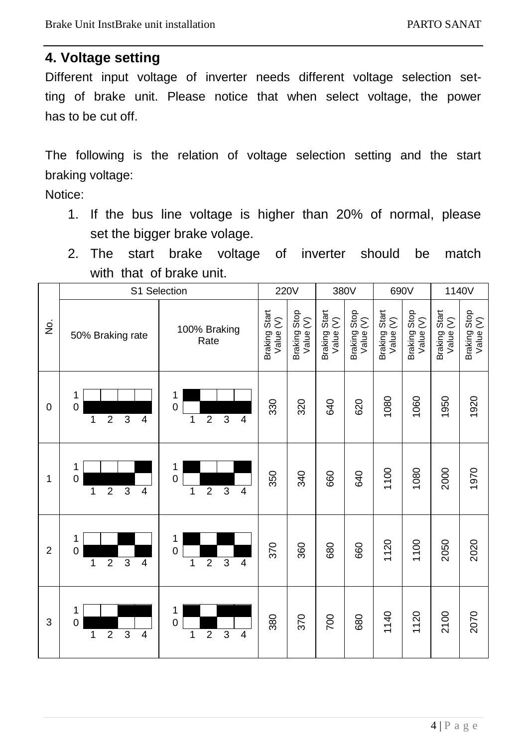#### **4. Voltage setting**

Different input voltage of inverter needs different voltage selection setting of brake unit. Please notice that when select voltage, the power has to be cut off.

The following is the relation of voltage selection setting and the start braking voltage:

Notice:

- 1. If the bus line voltage is higher than 20% of normal, please set the bigger brake volage.
- 2. The start brake voltage of inverter should be match with that of brake unit.

|                | S1 Selection                                         |                                                             |                            | 220V<br>380V              |                            | 690V                      |                            | 1140V                     |                            |                           |
|----------------|------------------------------------------------------|-------------------------------------------------------------|----------------------------|---------------------------|----------------------------|---------------------------|----------------------------|---------------------------|----------------------------|---------------------------|
| ġ              | 50% Braking rate                                     | 100% Braking<br>Rate                                        | Braking Start<br>Value (V) | Braking Stop<br>Value (V) | Braking Start<br>Value (V) | Braking Stop<br>Value (V) | Braking Start<br>Value (V) | Braking Stop<br>Value (V) | Braking Start<br>Value (V) | Braking Stop<br>Value (V) |
| 0              | 1<br>0<br>$\overline{2}$<br>3<br>1<br>4              | 1<br>$\Omega$<br>$\overline{2}$<br>3<br>$\overline{4}$<br>1 | 330                        | 320                       | 640                        | 620                       | 1080                       | 1060                      | 1950                       | 1920                      |
| 1              | 1<br>$\overline{0}$<br>$\overline{2}$<br>3<br>1<br>4 | 1<br>$\Omega$<br>$\overline{2}$<br>3<br>$\overline{4}$<br>1 | 350                        | 340                       | 660                        | 640                       | 1100                       | 1080                      | 2000                       | 1970                      |
| $\overline{2}$ | 1<br>0<br>$\overline{2}$<br>3<br>1<br>4              | 1<br>$\Omega$<br>$\overline{2}$<br>3<br>$\overline{4}$<br>1 | 370                        | 360                       | 680                        | 660                       | 1120                       | 1100                      | 2050                       | 2020                      |
| 3              | 1<br>0<br>$\overline{2}$<br>3<br>$\overline{4}$<br>1 | 1<br>$\Omega$<br>$\overline{2}$<br>3<br>$\overline{4}$<br>1 | 380                        | 370                       | 700                        | 680                       | 1140                       | 1120                      | 2100                       | 2070                      |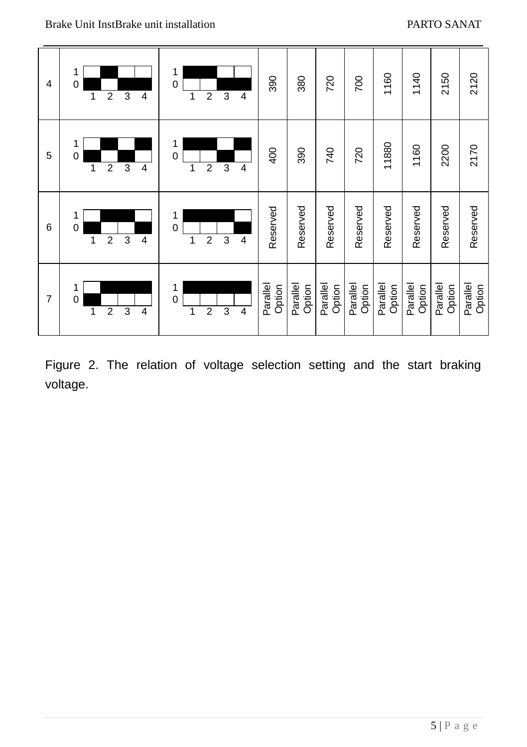

Figure 2. The relation of voltage selection setting and the start braking voltage.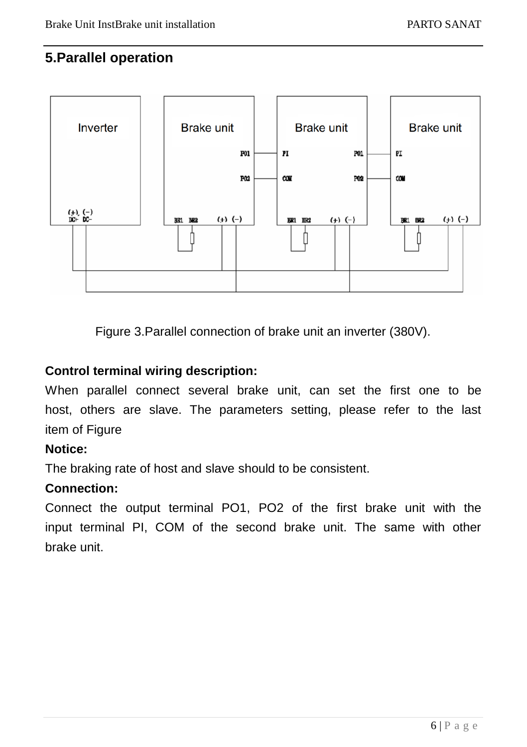### **5.Parallel operation**



Figure 3.Parallel connection of brake unit an inverter (380V).

#### **Control terminal wiring description:**

When parallel connect several brake unit, can set the first one to be host, others are slave. The parameters setting, please refer to the last item of Figure

#### **Notice:**

The braking rate of host and slave should to be consistent.

#### **Connection:**

Connect the output terminal PO1, PO2 of the first brake unit with the input terminal PI, COM of the second brake unit. The same with other brake unit.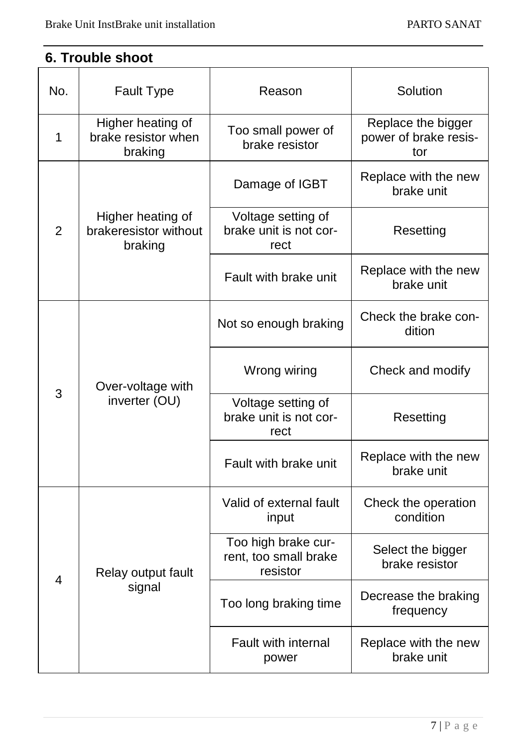# **6. Trouble shoot**

| No.            | Fault Type                                            | Reason                                                   | Solution                                           |  |
|----------------|-------------------------------------------------------|----------------------------------------------------------|----------------------------------------------------|--|
| 1              | Higher heating of<br>brake resistor when<br>braking   | Too small power of<br>brake resistor                     | Replace the bigger<br>power of brake resis-<br>tor |  |
|                |                                                       | Damage of IGBT                                           | Replace with the new<br>brake unit                 |  |
| $\overline{2}$ | Higher heating of<br>brakeresistor without<br>braking | Voltage setting of<br>brake unit is not cor-<br>rect     | Resetting                                          |  |
|                |                                                       | Fault with brake unit                                    | Replace with the new<br>brake unit                 |  |
| 3              |                                                       | Not so enough braking                                    | Check the brake con-<br>dition                     |  |
|                | Over-voltage with<br>inverter (OU)                    | Wrong wiring                                             | Check and modify                                   |  |
|                |                                                       | Voltage setting of<br>brake unit is not cor-<br>rect     | Resetting                                          |  |
|                |                                                       | Fault with brake unit                                    | Replace with the new<br>brake unit                 |  |
| 4              |                                                       | Valid of external fault<br>input                         | Check the operation<br>condition                   |  |
|                | Relay output fault<br>signal                          | Too high brake cur-<br>rent, too small brake<br>resistor | Select the bigger<br>brake resistor                |  |
|                |                                                       | Too long braking time                                    | Decrease the braking<br>frequency                  |  |
|                |                                                       | Fault with internal<br>power                             | Replace with the new<br>brake unit                 |  |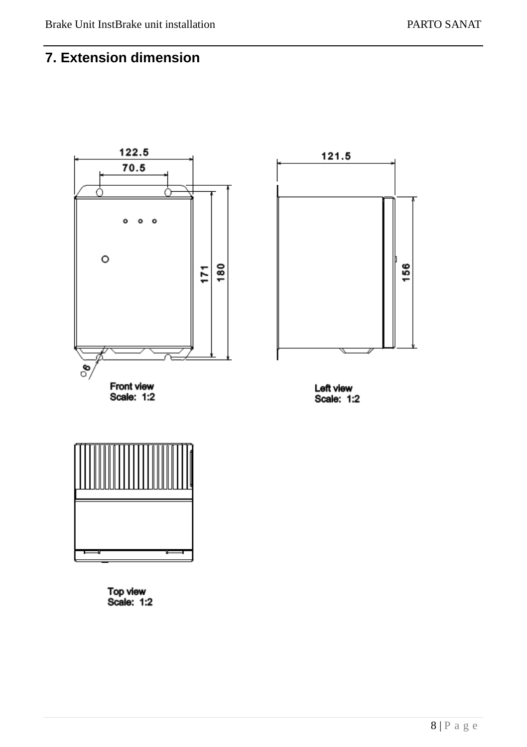## **7. Extension dimension**